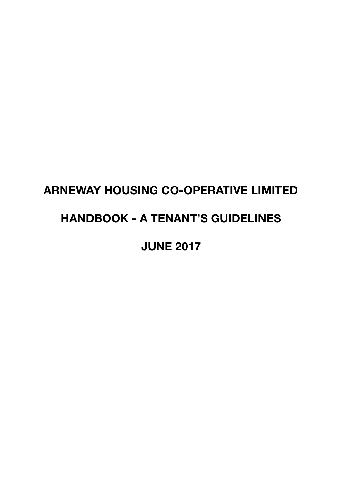# **ARNEWAY HOUSING CO-OPERATIVE LIMITED**

## **HANDBOOK - A TENANT'S GUIDELINES**

**JUNE 2017**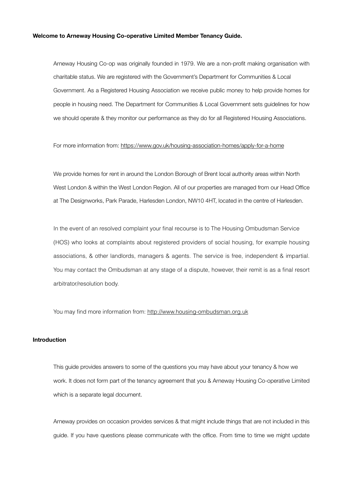#### **Welcome to Arneway Housing Co-operative Limited Member Tenancy Guide.**

Arneway Housing Co-op was originally founded in 1979. We are a non-profit making organisation with charitable status. We are registered with the Government's Department for Communities & Local Government. As a Registered Housing Association we receive public money to help provide homes for people in housing need. The Department for Communities & Local Government sets guidelines for how we should operate & they monitor our performance as they do for all Registered Housing Associations.

#### For more information from:<https://www.gov.uk/housing-association-homes/apply-for-a-home>

We provide homes for rent in around the London Borough of Brent local authority areas within North West London & within the West London Region. All of our properties are managed from our Head Office at The Designworks, Park Parade, Harlesden London, NW10 4HT, located in the centre of Harlesden.

In the event of an resolved complaint your final recourse is to The Housing Ombudsman Service (HOS) who looks at complaints about registered providers of social housing, for example housing associations, & other landlords, managers & agents. The service is free, independent & impartial. You may contact the Ombudsman at any stage of a dispute, however, their remit is as a final resort arbitrator/resolution body.

You may find more information from:<http://www.housing-ombudsman.org.uk>

#### **Introduction**

This guide provides answers to some of the questions you may have about your tenancy & how we work. It does not form part of the tenancy agreement that you & Arneway Housing Co-operative Limited which is a separate legal document.

Arneway provides on occasion provides services & that might include things that are not included in this guide. If you have questions please communicate with the office. From time to time we might update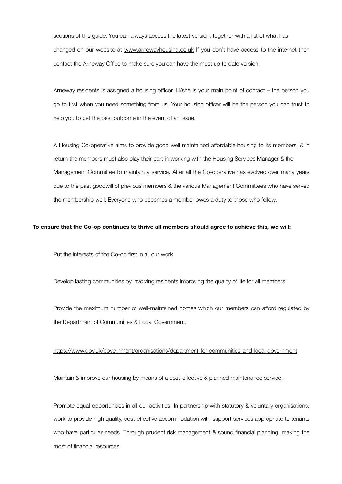sections of this guide. You can always access the latest version, together with a list of what has changed on our website at [www.arnewayhousing.co.uk](http://www.arnewayhousing.co.uk) If you don't have access to the internet then contact the Arneway Office to make sure you can have the most up to date version.

Arneway residents is assigned a housing officer. H/she is your main point of contact – the person you go to first when you need something from us. Your housing officer will be the person you can trust to help you to get the best outcome in the event of an issue.

A Housing Co-operative aims to provide good well maintained affordable housing to its members, & in return the members must also play their part in working with the Housing Services Manager & the Management Committee to maintain a service. After all the Co-operative has evolved over many years due to the past goodwill of previous members & the various Management Committees who have served the membership well. Everyone who becomes a member owes a duty to those who follow.

#### **To ensure that the Co-op continues to thrive all members should agree to achieve this, we will:**

Put the interests of the Co-op first in all our work.

Develop lasting communities by involving residents improving the quality of life for all members.

Provide the maximum number of well-maintained homes which our members can afford regulated by the Department of Communities & Local Government.

#### <https://www.gov.uk/government/organisations/department-for-communities-and-local-government>

Maintain & improve our housing by means of a cost-effective & planned maintenance service.

Promote equal opportunities in all our activities; In partnership with statutory & voluntary organisations, work to provide high quality, cost-effective accommodation with support services appropriate to tenants who have particular needs. Through prudent risk management & sound financial planning, making the most of financial resources.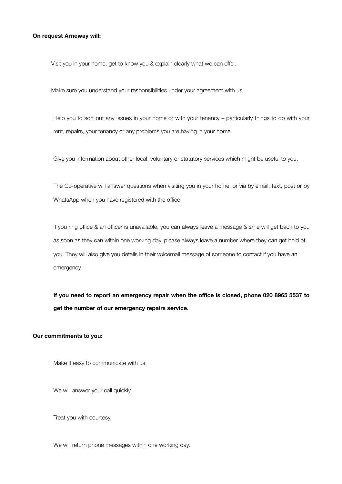#### **On request Arneway will:**

Visit you in your home, get to know you & explain clearly what we can offer.

Make sure you understand your responsibilities under your agreement with us.

Help you to sort out any issues in your home or with your tenancy – particularly things to do with your rent, repairs, your tenancy or any problems you are having in your home.

Give you information about other local, voluntary or statutory services which might be useful to you.

The Co-operative will answer questions when visiting you in your home, or via by email, text, post or by WhatsApp when you have registered with the office.

If you ring office & an officer is unavailable, you can always leave a message & s/he will get back to you as soon as they can within one working day, please always leave a number where they can get hold of you. They will also give you details in their voicemail message of someone to contact if you have an emergency.

**If you need to report an emergency repair when the office is closed, phone 020 8965 5537 to get the number of our emergency repairs service.**

#### **Our commitments to you:**

Make it easy to communicate with us.

We will answer your call quickly.

Treat you with courtesy,

We will return phone messages within one working day.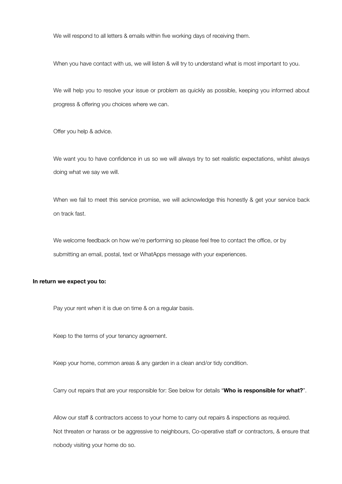We will respond to all letters & emails within five working days of receiving them.

When you have contact with us, we will listen & will try to understand what is most important to you.

We will help you to resolve your issue or problem as quickly as possible, keeping you informed about progress & offering you choices where we can.

Offer you help & advice.

We want you to have confidence in us so we will always try to set realistic expectations, whilst always doing what we say we will.

When we fail to meet this service promise, we will acknowledge this honestly & get your service back on track fast.

We welcome feedback on how we're performing so please feel free to contact the office, or by submitting an email, postal, text or WhatApps message with your experiences.

#### **In return we expect you to:**

Pay your rent when it is due on time & on a regular basis.

Keep to the terms of your tenancy agreement.

Keep your home, common areas & any garden in a clean and/or tidy condition.

Carry out repairs that are your responsible for: See below for details "**Who is responsible for what?**".

Allow our staff & contractors access to your home to carry out repairs & inspections as required. Not threaten or harass or be aggressive to neighbours, Co-operative staff or contractors, & ensure that nobody visiting your home do so.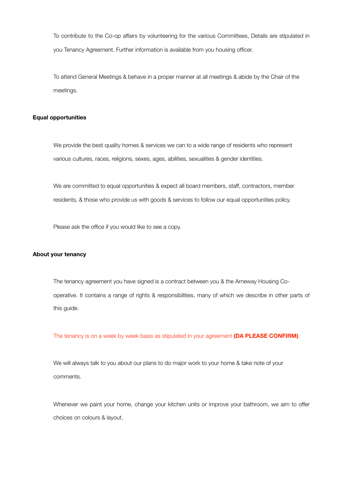To contribute to the Co-op affairs by volunteering for the various Committees, Details are stipulated in you Tenancy Agreement. Further information is available from you housing officer.

To attend General Meetings & behave in a proper manner at all meetings & abide by the Chair of the meetings.

#### **Equal opportunities**

We provide the best quality homes & services we can to a wide range of residents who represent various cultures, races, religions, sexes, ages, abilities, sexualities & gender identities.

We are committed to equal opportunities & expect all board members, staff, contractors, member residents, & those who provide us with goods & services to follow our equal opportunities policy.

Please ask the office if you would like to see a copy.

#### **About your tenancy**

The tenancy agreement you have signed is a contract between you & the Arneway Housing Cooperative. It contains a range of rights & responsibilities, many of which we describe in other parts of this guide.

The tenancy is on a week by week basis as stipulated in your agreement **(DA PLEASE CONFIRM)**.

We will always talk to you about our plans to do major work to your home & take note of your comments.

Whenever we paint your home, change your kitchen units or improve your bathroom, we aim to offer choices on colours & layout.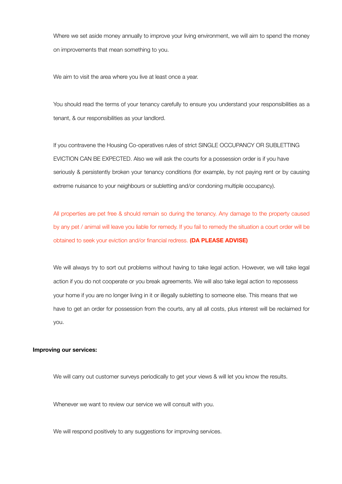Where we set aside money annually to improve your living environment, we will aim to spend the money on improvements that mean something to you.

We aim to visit the area where you live at least once a year.

You should read the terms of your tenancy carefully to ensure you understand your responsibilities as a tenant, & our responsibilities as your landlord.

If you contravene the Housing Co-operatives rules of strict SINGLE OCCUPANCY OR SUBLETTING EVICTION CAN BE EXPECTED. Also we will ask the courts for a possession order is if you have seriously & persistently broken your tenancy conditions (for example, by not paying rent or by causing extreme nuisance to your neighbours or subletting and/or condoning multiple occupancy).

All properties are pet free & should remain so during the tenancy. Any damage to the property caused by any pet / animal will leave you liable for remedy. If you fail to remedy the situation a court order will be obtained to seek your eviction and/or financial redress. **(DA PLEASE ADVISE)**

We will always try to sort out problems without having to take legal action. However, we will take legal action if you do not cooperate or you break agreements. We will also take legal action to repossess your home if you are no longer living in it or illegally subletting to someone else. This means that we have to get an order for possession from the courts, any all all costs, plus interest will be reclaimed for you.

#### **Improving our services:**

We will carry out customer surveys periodically to get your views & will let you know the results.

Whenever we want to review our service we will consult with you.

We will respond positively to any suggestions for improving services.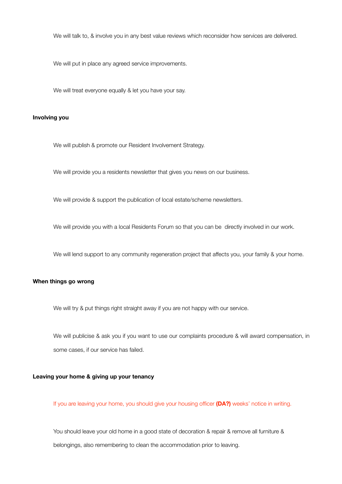We will talk to, & involve you in any best value reviews which reconsider how services are delivered.

We will put in place any agreed service improvements.

We will treat everyone equally & let you have your say.

#### **Involving you**

We will publish & promote our Resident Involvement Strategy.

We will provide you a residents newsletter that gives you news on our business.

We will provide & support the publication of local estate/scheme newsletters.

We will provide you with a local Residents Forum so that you can be directly involved in our work.

We will lend support to any community regeneration project that affects you, your family & your home.

#### **When things go wrong**

We will try & put things right straight away if you are not happy with our service.

We will publicise & ask you if you want to use our complaints procedure & will award compensation, in some cases, if our service has failed.

#### **Leaving your home & giving up your tenancy**

If you are leaving your home, you should give your housing officer **(DA?)** weeks' notice in writing.

You should leave your old home in a good state of decoration & repair & remove all furniture & belongings, also remembering to clean the accommodation prior to leaving.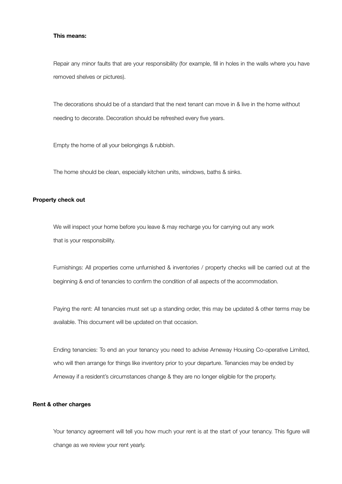#### **This means:**

Repair any minor faults that are your responsibility (for example, fill in holes in the walls where you have removed shelves or pictures).

The decorations should be of a standard that the next tenant can move in & live in the home without needing to decorate. Decoration should be refreshed every five years.

Empty the home of all your belongings & rubbish.

The home should be clean, especially kitchen units, windows, baths & sinks.

#### **Property check out**

We will inspect your home before you leave & may recharge you for carrying out any work that is your responsibility.

Furnishings: All properties come unfurnished & inventories / property checks will be carried out at the beginning & end of tenancies to confirm the condition of all aspects of the accommodation.

Paying the rent: All tenancies must set up a standing order, this may be updated & other terms may be available. This document will be updated on that occasion.

Ending tenancies: To end an your tenancy you need to advise Arneway Housing Co-operative Limited, who will then arrange for things like inventory prior to your departure. Tenancies may be ended by Arneway if a resident's circumstances change & they are no longer eligible for the property.

#### **Rent & other charges**

Your tenancy agreement will tell you how much your rent is at the start of your tenancy. This figure will change as we review your rent yearly.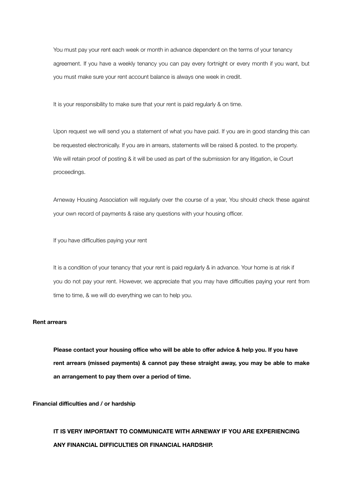You must pay your rent each week or month in advance dependent on the terms of your tenancy agreement. If you have a weekly tenancy you can pay every fortnight or every month if you want, but you must make sure your rent account balance is always one week in credit.

It is your responsibility to make sure that your rent is paid regularly & on time.

Upon request we will send you a statement of what you have paid. If you are in good standing this can be requested electronically. If you are in arrears, statements will be raised & posted. to the property. We will retain proof of posting & it will be used as part of the submission for any litigation, ie Court proceedings.

Arneway Housing Association will regularly over the course of a year, You should check these against your own record of payments & raise any questions with your housing officer.

If you have difficulties paying your rent

It is a condition of your tenancy that your rent is paid regularly & in advance. Your home is at risk if you do not pay your rent. However, we appreciate that you may have difficulties paying your rent from time to time, & we will do everything we can to help you.

#### **Rent arrears**

**Please contact your housing office who will be able to offer advice & help you. If you have rent arrears (missed payments) & cannot pay these straight away, you may be able to make an arrangement to pay them over a period of time.** 

**Financial difficulties and / or hardship**

**IT IS VERY IMPORTANT TO COMMUNICATE WITH ARNEWAY IF YOU ARE EXPERIENCING ANY FINANCIAL DIFFICULTIES OR FINANCIAL HARDSHIP.**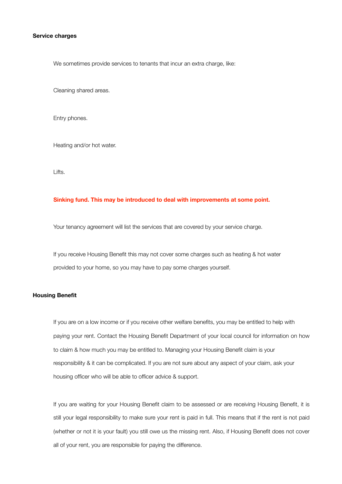#### **Service charges**

We sometimes provide services to tenants that incur an extra charge, like:

Cleaning shared areas.

Entry phones.

Heating and/or hot water.

Lifts.

#### **Sinking fund. This may be introduced to deal with improvements at some point.**

Your tenancy agreement will list the services that are covered by your service charge.

If you receive Housing Benefit this may not cover some charges such as heating & hot water provided to your home, so you may have to pay some charges yourself.

#### **Housing Benefit**

If you are on a low income or if you receive other welfare benefits, you may be entitled to help with paying your rent. Contact the Housing Benefit Department of your local council for information on how to claim & how much you may be entitled to. Managing your Housing Benefit claim is your responsibility & it can be complicated. If you are not sure about any aspect of your claim, ask your housing officer who will be able to officer advice & support.

If you are waiting for your Housing Benefit claim to be assessed or are receiving Housing Benefit, it is still your legal responsibility to make sure your rent is paid in full. This means that if the rent is not paid (whether or not it is your fault) you still owe us the missing rent. Also, if Housing Benefit does not cover all of your rent, you are responsible for paying the difference.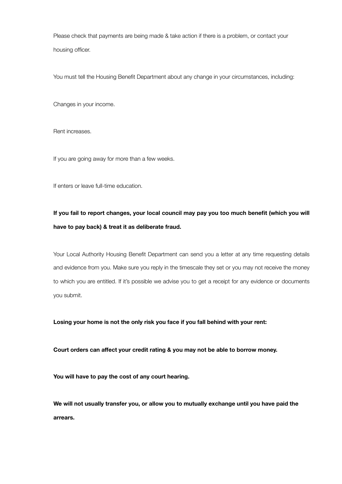Please check that payments are being made & take action if there is a problem, or contact your housing officer.

You must tell the Housing Benefit Department about any change in your circumstances, including:

Changes in your income.

Rent increases.

If you are going away for more than a few weeks.

If enters or leave full-time education.

### **If you fail to report changes, your local council may pay you too much benefit (which you will have to pay back) & treat it as deliberate fraud.**

Your Local Authority Housing Benefit Department can send you a letter at any time requesting details and evidence from you. Make sure you reply in the timescale they set or you may not receive the money to which you are entitled. If it's possible we advise you to get a receipt for any evidence or documents you submit.

**Losing your home is not the only risk you face if you fall behind with your rent:**

**Court orders can affect your credit rating & you may not be able to borrow money.**

**You will have to pay the cost of any court hearing.**

**We will not usually transfer you, or allow you to mutually exchange until you have paid the arrears.**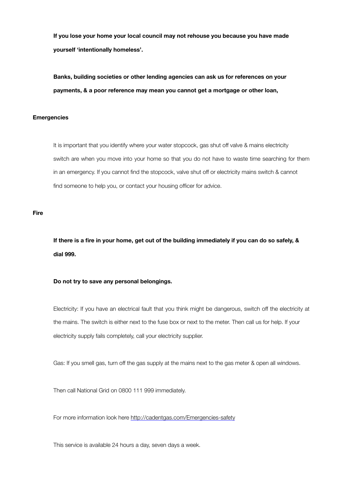**If you lose your home your local council may not rehouse you because you have made yourself 'intentionally homeless'.**

**Banks, building societies or other lending agencies can ask us for references on your payments, & a poor reference may mean you cannot get a mortgage or other loan,**

#### **Emergencies**

It is important that you identify where your water stopcock, gas shut off valve & mains electricity switch are when you move into your home so that you do not have to waste time searching for them in an emergency. If you cannot find the stopcock, valve shut off or electricity mains switch & cannot find someone to help you, or contact your housing officer for advice.

#### **Fire**

**If there is a fire in your home, get out of the building immediately if you can do so safely, & dial 999.** 

#### **Do not try to save any personal belongings.**

Electricity: If you have an electrical fault that you think might be dangerous, switch off the electricity at the mains. The switch is either next to the fuse box or next to the meter. Then call us for help. If your electricity supply fails completely, call your electricity supplier.

Gas: If you smell gas, turn off the gas supply at the mains next to the gas meter & open all windows.

Then call National Grid on 0800 111 999 immediately.

For more information look here<http://cadentgas.com/Emergencies-safety>

This service is available 24 hours a day, seven days a week.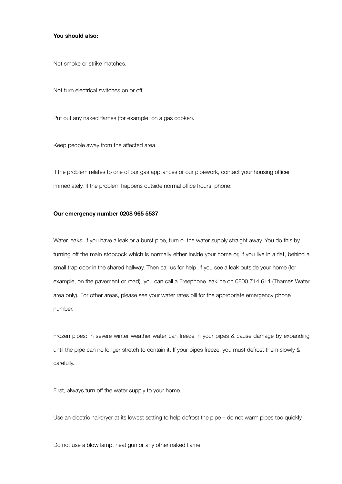#### **You should also:**

Not smoke or strike matches.

Not turn electrical switches on or off.

Put out any naked flames (for example, on a gas cooker).

Keep people away from the affected area.

If the problem relates to one of our gas appliances or our pipework, contact your housing officer immediately. If the problem happens outside normal office hours, phone:

#### **Our emergency number 0208 965 5537**

Water leaks: If you have a leak or a burst pipe, turn o the water supply straight away. You do this by turning off the main stopcock which is normally either inside your home or, if you live in a flat, behind a small trap door in the shared hallway. Then call us for help. If you see a leak outside your home (for example, on the pavement or road), you can call a Freephone leakline on 0800 714 614 (Thames Water area only). For other areas, please see your water rates bill for the appropriate emergency phone number.

Frozen pipes: In severe winter weather water can freeze in your pipes & cause damage by expanding until the pipe can no longer stretch to contain it. If your pipes freeze, you must defrost them slowly & carefully.

First, always turn off the water supply to your home.

Use an electric hairdryer at its lowest setting to help defrost the pipe – do not warm pipes too quickly.

Do not use a blow lamp, heat gun or any other naked flame.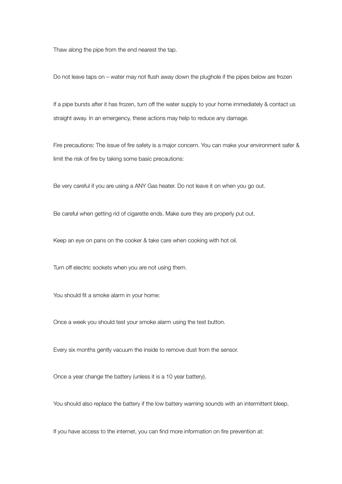Thaw along the pipe from the end nearest the tap.

Do not leave taps on – water may not flush away down the plughole if the pipes below are frozen

If a pipe bursts after it has frozen, turn off the water supply to your home immediately & contact us straight away. In an emergency, these actions may help to reduce any damage.

Fire precautions: The issue of fire safety is a major concern. You can make your environment safer & limit the risk of fire by taking some basic precautions:

Be very careful if you are using a ANY Gas heater. Do not leave it on when you go out.

Be careful when getting rid of cigarette ends. Make sure they are properly put out.

Keep an eye on pans on the cooker & take care when cooking with hot oil.

Turn off electric sockets when you are not using them.

You should fit a smoke alarm in your home:

Once a week you should test your smoke alarm using the test button.

Every six months gently vacuum the inside to remove dust from the sensor.

Once a year change the battery (unless it is a 10 year battery).

You should also replace the battery if the low battery warning sounds with an intermittent bleep.

If you have access to the internet, you can find more information on fire prevention at: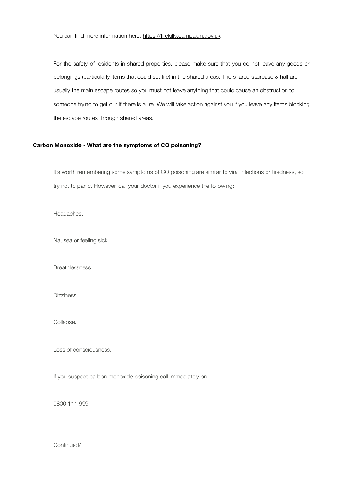For the safety of residents in shared properties, please make sure that you do not leave any goods or belongings (particularly items that could set fire) in the shared areas. The shared staircase & hall are usually the main escape routes so you must not leave anything that could cause an obstruction to someone trying to get out if there is a re. We will take action against you if you leave any items blocking the escape routes through shared areas.

#### **Carbon Monoxide - What are the symptoms of CO poisoning?**

It's worth remembering some symptoms of CO poisoning are similar to viral infections or tiredness, so try not to panic. However, call your doctor if you experience the following:

 Headaches.

 Nausea or feeling sick.

 Breathlessness.

 Dizziness.

 Collapse.

 Loss of consciousness.

If you suspect carbon monoxide poisoning call immediately on:

0800 111 999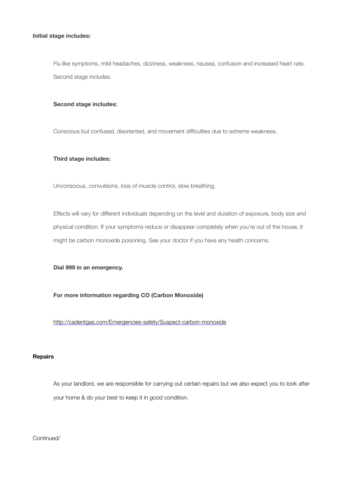#### **Initial stage includes:**

 Flu like symptoms, mild headaches, dizziness, weakness, nausea, confusion and increased heart rate. Second stage includes:

#### **Second stage includes:**

 Conscious but confused, disoriented, and movement difficulties due to extreme weakness.

#### **Third stage includes:**

 Unconscious, convulsions, loss of muscle control, slow breathing.

Effects will vary for different individuals depending on the level and duration of exposure, body size and physical condition. If your symptoms reduce or disappear completely when you're out of the house, it might be carbon monoxide poisoning. See your doctor if you have any health concerns.

#### **Dial 999 in an emergency.**

#### **For more information regarding CO (Carbon Monoxide)**

<http://cadentgas.com/Emergencies-safety/Suspect-carbon-monoxide>

#### **Repairs**

As your landlord, we are responsible for carrying out certain repairs but we also expect you to look after your home & do your best to keep it in good condition.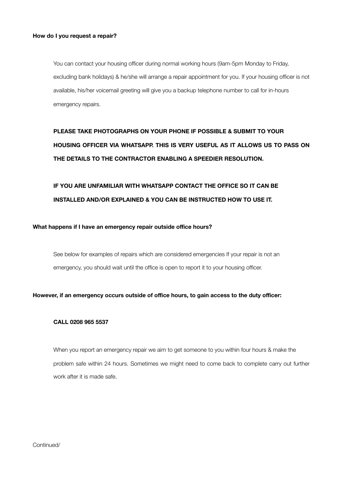You can contact your housing officer during normal working hours (9am-5pm Monday to Friday, excluding bank holidays) & he/she will arrange a repair appointment for you. If your housing officer is not available, his/her voicemail greeting will give you a backup telephone number to call for in-hours emergency repairs.

## **PLEASE TAKE PHOTOGRAPHS ON YOUR PHONE IF POSSIBLE & SUBMIT TO YOUR HOUSING OFFICER VIA WHATSAPP. THIS IS VERY USEFUL AS IT ALLOWS US TO PASS ON THE DETAILS TO THE CONTRACTOR ENABLING A SPEEDIER RESOLUTION.**

## **IF YOU ARE UNFAMILIAR WITH WHATSAPP CONTACT THE OFFICE SO IT CAN BE INSTALLED AND/OR EXPLAINED & YOU CAN BE INSTRUCTED HOW TO USE IT.**

#### **What happens if I have an emergency repair outside office hours?**

See below for examples of repairs which are considered emergencies If your repair is not an emergency, you should wait until the office is open to report it to your housing officer.

#### **However, if an emergency occurs outside of office hours, to gain access to the duty officer:**

#### **CALL 0208 965 5537**

When you report an emergency repair we aim to get someone to you within four hours & make the problem safe within 24 hours. Sometimes we might need to come back to complete carry out further work after it is made safe.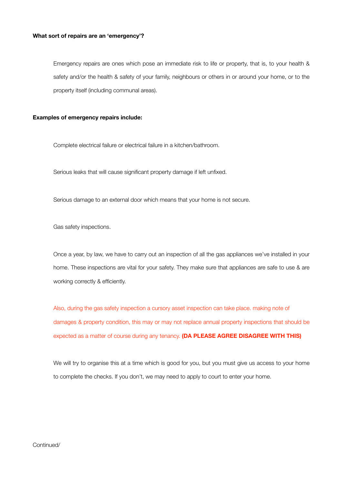#### **What sort of repairs are an 'emergency'?**

Emergency repairs are ones which pose an immediate risk to life or property, that is, to your health & safety and/or the health & safety of your family, neighbours or others in or around your home, or to the property itself (including communal areas).

#### **Examples of emergency repairs include:**

Complete electrical failure or electrical failure in a kitchen/bathroom.

Serious leaks that will cause significant property damage if left unfixed.

Serious damage to an external door which means that your home is not secure.

Gas safety inspections.

Once a year, by law, we have to carry out an inspection of all the gas appliances we've installed in your home. These inspections are vital for your safety. They make sure that appliances are safe to use & are working correctly & efficiently.

Also, during the gas safety inspection a cursory asset inspection can take place. making note of damages & property condition, this may or may not replace annual property inspections that should be expected as a matter of course during any tenancy. **(DA PLEASE AGREE DISAGREE WITH THIS)**

We will try to organise this at a time which is good for you, but you must give us access to your home to complete the checks. If you don't, we may need to apply to court to enter your home.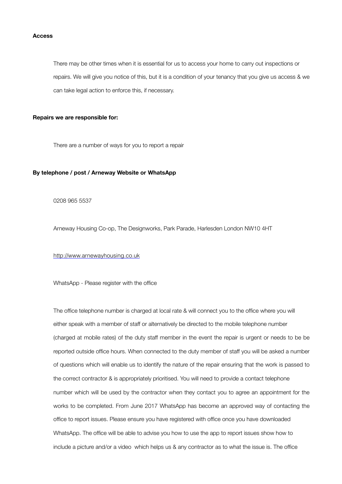#### **Access**

There may be other times when it is essential for us to access your home to carry out inspections or repairs. We will give you notice of this, but it is a condition of your tenancy that you give us access & we can take legal action to enforce this, if necessary.

#### **Repairs we are responsible for:**

There are a number of ways for you to report a repair

#### **By telephone / post / Arneway Website or WhatsApp**

0208 965 5537

Arneway Housing Co-op, The Designworks, Park Parade, Harlesden London NW10 4HT

<http://www.arnewayhousing.co.uk>

#### WhatsApp - Please register with the office

The office telephone number is charged at local rate & will connect you to the office where you will either speak with a member of staff or alternatively be directed to the mobile telephone number (charged at mobile rates) of the duty staff member in the event the repair is urgent or needs to be be reported outside office hours. When connected to the duty member of staff you will be asked a number of questions which will enable us to identify the nature of the repair ensuring that the work is passed to the correct contractor & is appropriately prioritised. You will need to provide a contact telephone number which will be used by the contractor when they contact you to agree an appointment for the works to be completed. From June 2017 WhatsApp has become an approved way of contacting the office to report issues. Please ensure you have registered with office once you have downloaded WhatsApp. The office will be able to advise you how to use the app to report issues show how to include a picture and/or a video which helps us & any contractor as to what the issue is. The office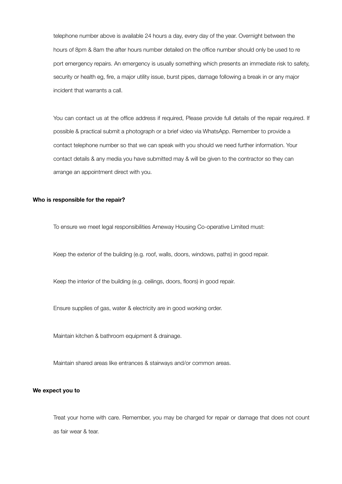telephone number above is available 24 hours a day, every day of the year. Overnight between the hours of 8pm & 8am the after hours number detailed on the office number should only be used to re port emergency repairs. An emergency is usually something which presents an immediate risk to safety, security or health eg, fire, a major utility issue, burst pipes, damage following a break in or any major incident that warrants a call.

You can contact us at the office address if required, Please provide full details of the repair required. If possible & practical submit a photograph or a brief video via WhatsApp. Remember to provide a contact telephone number so that we can speak with you should we need further information. Your contact details & any media you have submitted may & will be given to the contractor so they can arrange an appointment direct with you.

#### **Who is responsible for the repair?**

To ensure we meet legal responsibilities Arneway Housing Co-operative Limited must:

Keep the exterior of the building (e.g. roof, walls, doors, windows, paths) in good repair.

Keep the interior of the building (e.g. ceilings, doors, floors) in good repair.

Ensure supplies of gas, water & electricity are in good working order.

Maintain kitchen & bathroom equipment & drainage.

Maintain shared areas like entrances & stairways and/or common areas.

#### **We expect you to**

Treat your home with care. Remember, you may be charged for repair or damage that does not count as fair wear & tear.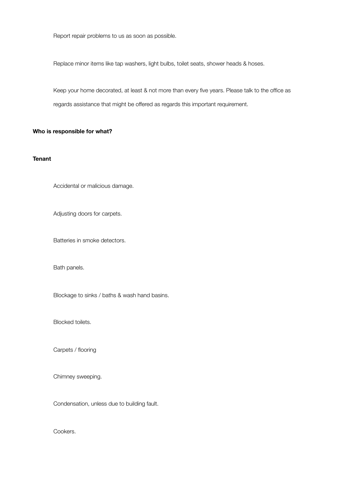Report repair problems to us as soon as possible.

Replace minor items like tap washers, light bulbs, toilet seats, shower heads & hoses.

Keep your home decorated, at least & not more than every five years. Please talk to the office as regards assistance that might be offered as regards this important requirement.

#### **Who is responsible for what?**

#### **Tenant**

Accidental or malicious damage.

Adjusting doors for carpets.

Batteries in smoke detectors.

Bath panels.

Blockage to sinks / baths & wash hand basins.

Blocked toilets.

Carpets / flooring

Chimney sweeping.

Condensation, unless due to building fault.

Cookers.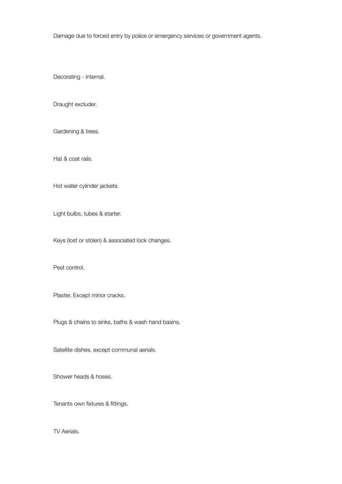Damage due to forced entry by police or emergency services or government agents.

Decorating - internal.

Draught excluder.

Gardening & trees.

Hat & coat rails.

Hot water cylinder jackets.

Light bulbs, tubes & starter.

Keys (lost or stolen) & associated lock changes.

Pest control.

Plaster, Except minor cracks.

Plugs & chains to sinks, baths & wash hand basins.

Satellite dishes, except communal aerials.

Shower heads & hoses.

Tenants own fixtures & fittings.

TV Aerials.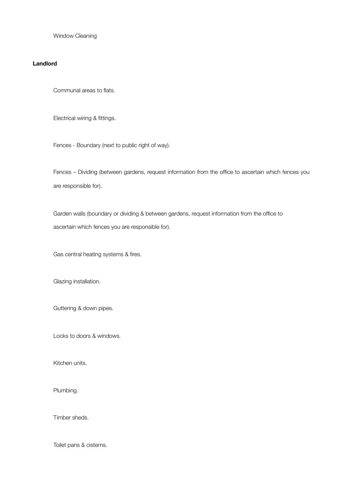Window Cleaning

#### **Landlord**

Communal areas to flats.

Electrical wiring & fittings.

Fences - Boundary (next to public right of way).

Fences – Dividing (between gardens, request information from the office to ascertain which fences you are responsible for).

Garden walls (boundary or dividing & between gardens, request information from the office to ascertain which fences you are responsible for).

Gas central heating systems & fires.

Glazing installation.

Guttering & down pipes.

Locks to doors & windows.

Kitchen units.

Plumbing.

Timber sheds.

Toilet pans & cisterns.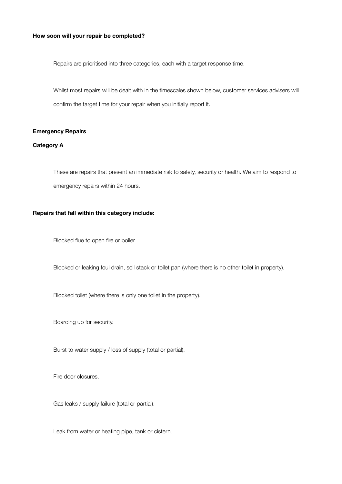#### **How soon will your repair be completed?**

Repairs are prioritised into three categories, each with a target response time.

Whilst most repairs will be dealt with in the timescales shown below, customer services advisers will confirm the target time for your repair when you initially report it.

#### **Emergency Repairs**

#### **Category A**

These are repairs that present an immediate risk to safety, security or health. We aim to respond to emergency repairs within 24 hours.

#### **Repairs that fall within this category include:**

 Blocked flue to open fire or boiler.

 Blocked or leaking foul drain, soil stack or toilet pan (where there is no other toilet in property).

 Blocked toilet (where there is only one toilet in the property).

 Boarding up for security.

 Burst to water supply / loss of supply (total or partial).

 Fire door closures.

 Gas leaks / supply failure (total or partial).

 Leak from water or heating pipe, tank or cistern.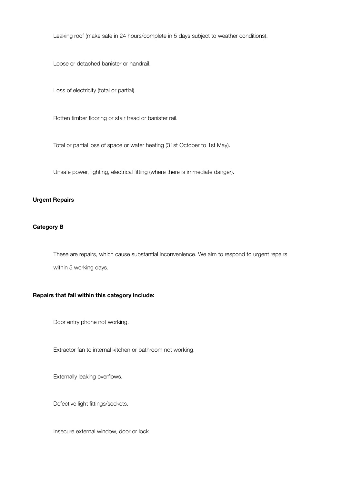Leaking roof (make safe in 24 hours/complete in 5 days subject to weather conditions).

 Loose or detached banister or handrail.

 Loss of electricity (total or partial).

 Rotten timber flooring or stair tread or banister rail.

 Total or partial loss of space or water heating (31st October to 1st May).

 Unsafe power, lighting, electrical fitting (where there is immediate danger).

#### **Urgent Repairs**

#### **Category B**

These are repairs, which cause substantial inconvenience. We aim to respond to urgent repairs within 5 working days.

#### **Repairs that fall within this category include:**

Door entry phone not working.

Extractor fan to internal kitchen or bathroom not working.

Externally leaking overflows.

Defective light fittings/sockets.

Insecure external window, door or lock.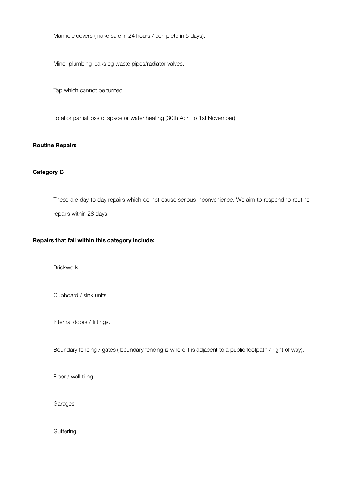Manhole covers (make safe in 24 hours / complete in 5 days).

Minor plumbing leaks eg waste pipes/radiator valves.

Tap which cannot be turned.

Total or partial loss of space or water heating (30th April to 1st November).

#### **Routine Repairs**

#### **Category C**

These are day to day repairs which do not cause serious inconvenience. We aim to respond to routine repairs within 28 days.

#### **Repairs that fall within this category include:**

Brickwork.

Cupboard / sink units.

Internal doors / fittings.

Boundary fencing / gates ( boundary fencing is where it is adjacent to a public footpath / right of way).

Floor / wall tiling.

Garages.

Guttering.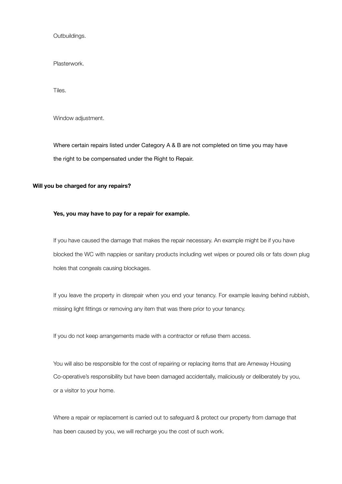Outbuildings.

Plasterwork.

Tiles.

Window adjustment.

Where certain repairs listed under Category A & B are not completed on time you may have the right to be compensated under the Right to Repair.

#### **Will you be charged for any repairs?**

#### **Yes, you may have to pay for a repair for example.**

If you have caused the damage that makes the repair necessary. An example might be if you have blocked the WC with nappies or sanitary products including wet wipes or poured oils or fats down plug holes that congeals causing blockages.

If you leave the property in disrepair when you end your tenancy. For example leaving behind rubbish, missing light fittings or removing any item that was there prior to your tenancy.

If you do not keep arrangements made with a contractor or refuse them access.

You will also be responsible for the cost of repairing or replacing items that are Arneway Housing Co-operative's responsibility but have been damaged accidentally, maliciously or deliberately by you, or a visitor to your home.

Where a repair or replacement is carried out to safeguard & protect our property from damage that has been caused by you, we will recharge you the cost of such work.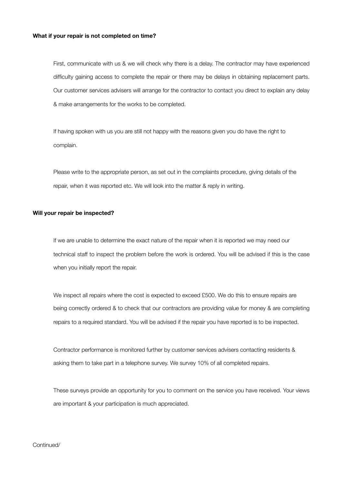#### **What if your repair is not completed on time?**

First, communicate with us & we will check why there is a delay. The contractor may have experienced difficulty gaining access to complete the repair or there may be delays in obtaining replacement parts. Our customer services advisers will arrange for the contractor to contact you direct to explain any delay & make arrangements for the works to be completed.

If having spoken with us you are still not happy with the reasons given you do have the right to complain.

Please write to the appropriate person, as set out in the complaints procedure, giving details of the repair, when it was reported etc. We will look into the matter & reply in writing.

#### **Will your repair be inspected?**

If we are unable to determine the exact nature of the repair when it is reported we may need our technical staff to inspect the problem before the work is ordered. You will be advised if this is the case when you initially report the repair.

We inspect all repairs where the cost is expected to exceed £500. We do this to ensure repairs are being correctly ordered & to check that our contractors are providing value for money & are completing repairs to a required standard. You will be advised if the repair you have reported is to be inspected.

Contractor performance is monitored further by customer services advisers contacting residents & asking them to take part in a telephone survey. We survey 10% of all completed repairs.

These surveys provide an opportunity for you to comment on the service you have received. Your views are important & your participation is much appreciated.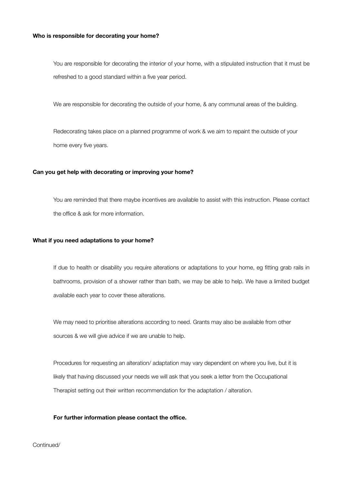#### **Who is responsible for decorating your home?**

You are responsible for decorating the interior of your home, with a stipulated instruction that it must be refreshed to a good standard within a five year period.

We are responsible for decorating the outside of your home, & any communal areas of the building.

Redecorating takes place on a planned programme of work & we aim to repaint the outside of your home every five years.

#### **Can you get help with decorating or improving your home?**

You are reminded that there maybe incentives are available to assist with this instruction. Please contact the office & ask for more information.

#### **What if you need adaptations to your home?**

If due to health or disability you require alterations or adaptations to your home, eg fitting grab rails in bathrooms, provision of a shower rather than bath, we may be able to help. We have a limited budget available each year to cover these alterations.

We may need to prioritise alterations according to need. Grants may also be available from other sources & we will give advice if we are unable to help.

Procedures for requesting an alteration/ adaptation may vary dependent on where you live, but it is likely that having discussed your needs we will ask that you seek a letter from the Occupational Therapist setting out their written recommendation for the adaptation / alteration.

#### **For further information please contact the office.**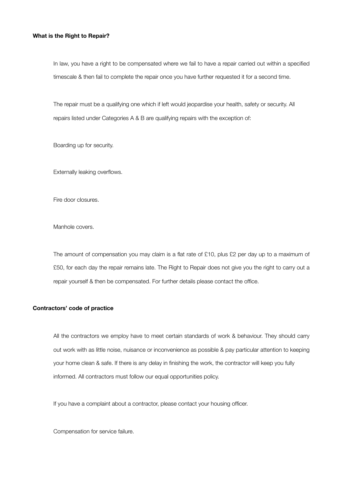#### **What is the Right to Repair?**

In law, you have a right to be compensated where we fail to have a repair carried out within a specified timescale & then fail to complete the repair once you have further requested it for a second time.

The repair must be a qualifying one which if left would jeopardise your health, safety or security. All repairs listed under Categories A & B are qualifying repairs with the exception of:

Boarding up for security.

Externally leaking overflows.

Fire door closures.

Manhole covers.

The amount of compensation you may claim is a flat rate of £10, plus £2 per day up to a maximum of £50, for each day the repair remains late. The Right to Repair does not give you the right to carry out a repair yourself & then be compensated. For further details please contact the office.

#### **Contractors' code of practice**

All the contractors we employ have to meet certain standards of work & behaviour. They should carry out work with as little noise, nuisance or inconvenience as possible & pay particular attention to keeping your home clean & safe. If there is any delay in finishing the work, the contractor will keep you fully informed. All contractors must follow our equal opportunities policy.

If you have a complaint about a contractor, please contact your housing officer.

Compensation for service failure.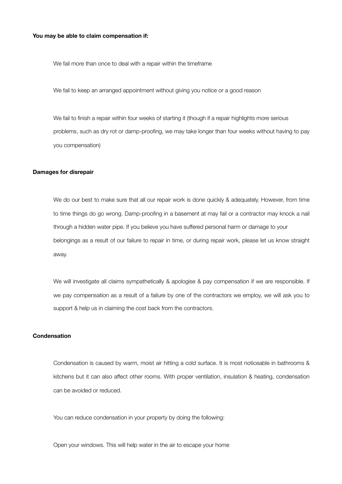#### **You may be able to claim compensation if:**

We fail more than once to deal with a repair within the timeframe

We fail to keep an arranged appointment without giving you notice or a good reason

We fail to finish a repair within four weeks of starting it (though if a repair highlights more serious problems, such as dry rot or damp-proofing, we may take longer than four weeks without having to pay you compensation)

#### **Damages for disrepair**

We do our best to make sure that all our repair work is done quickly & adequately. However, from time to time things do go wrong. Damp-proofing in a basement at may fail or a contractor may knock a nail through a hidden water pipe. If you believe you have suffered personal harm or damage to your belongings as a result of our failure to repair in time, or during repair work, please let us know straight away.

We will investigate all claims sympathetically & apologise & pay compensation if we are responsible. If we pay compensation as a result of a failure by one of the contractors we employ, we will ask you to support & help us in claiming the cost back from the contractors.

#### **Condensation**

Condensation is caused by warm, moist air hitting a cold surface. It is most noticeable in bathrooms & kitchens but it can also affect other rooms. With proper ventilation, insulation & heating, condensation can be avoided or reduced.

You can reduce condensation in your property by doing the following:

Open your windows. This will help water in the air to escape your home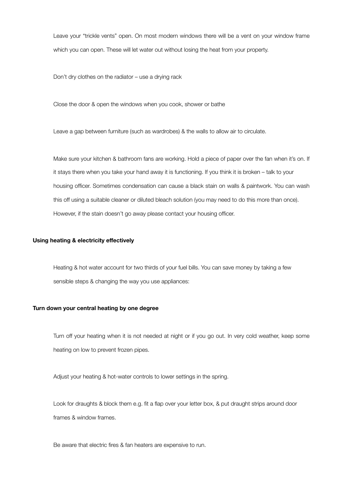Leave your "trickle vents" open. On most modern windows there will be a vent on your window frame which you can open. These will let water out without losing the heat from your property.

Don't dry clothes on the radiator – use a drying rack

Close the door & open the windows when you cook, shower or bathe

Leave a gap between furniture (such as wardrobes) & the walls to allow air to circulate.

Make sure your kitchen & bathroom fans are working. Hold a piece of paper over the fan when it's on. If it stays there when you take your hand away it is functioning. If you think it is broken – talk to your housing officer. Sometimes condensation can cause a black stain on walls & paintwork. You can wash this off using a suitable cleaner or diluted bleach solution (you may need to do this more than once). However, if the stain doesn't go away please contact your housing officer.

#### **Using heating & electricity effectively**

Heating & hot water account for two thirds of your fuel bills. You can save money by taking a few sensible steps & changing the way you use appliances:

#### **Turn down your central heating by one degree**

Turn off your heating when it is not needed at night or if you go out. In very cold weather, keep some heating on low to prevent frozen pipes.

Adjust your heating & hot-water controls to lower settings in the spring.

Look for draughts & block them e.g. fit a flap over your letter box, & put draught strips around door frames & window frames.

Be aware that electric fires & fan heaters are expensive to run.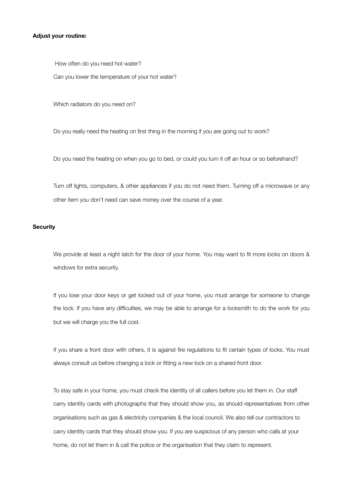#### **Adjust your routine:**

How often do you need hot water?

Can you lower the temperature of your hot water?

Which radiators do you need on?

Do you really need the heating on first thing in the morning if you are going out to work?

Do you need the heating on when you go to bed, or could you turn it off an hour or so beforehand?

Turn off lights, computers, & other appliances if you do not need them. Turning off a microwave or any other item you don't need can save money over the course of a year.

#### **Security**

We provide at least a night latch for the door of your home. You may want to fit more locks on doors & windows for extra security.

If you lose your door keys or get locked out of your home, you must arrange for someone to change the lock. If you have any difficulties, we may be able to arrange for a locksmith to do the work for you but we will charge you the full cost.

If you share a front door with others, it is against fire regulations to fit certain types of locks. You must always consult us before changing a lock or fitting a new lock on a shared front door.

To stay safe in your home, you must check the identity of all callers before you let them in. Our staff carry identity cards with photographs that they should show you, as should representatives from other organisations such as gas & electricity companies & the local council. We also tell our contractors to carry identity cards that they should show you. If you are suspicious of any person who calls at your home, do not let them in & call the police or the organisation that they claim to represent.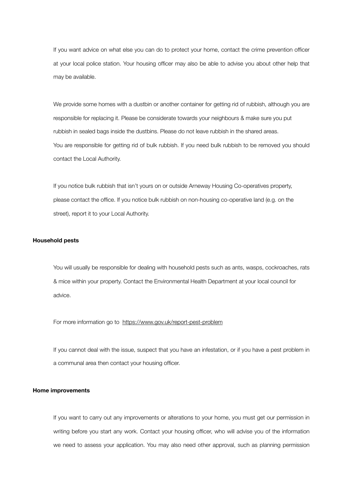If you want advice on what else you can do to protect your home, contact the crime prevention officer at your local police station. Your housing officer may also be able to advise you about other help that may be available.

We provide some homes with a dustbin or another container for getting rid of rubbish, although you are responsible for replacing it. Please be considerate towards your neighbours & make sure you put rubbish in sealed bags inside the dustbins. Please do not leave rubbish in the shared areas. You are responsible for getting rid of bulk rubbish. If you need bulk rubbish to be removed you should contact the Local Authority.

If you notice bulk rubbish that isn't yours on or outside Arneway Housing Co-operatives property, please contact the office. If you notice bulk rubbish on non-housing co-operative land (e.g. on the street), report it to your Local Authority.

#### **Household pests**

You will usually be responsible for dealing with household pests such as ants, wasps, cockroaches, rats & mice within your property. Contact the Environmental Health Department at your local council for advice.

For more information go to <https://www.gov.uk/report-pest-problem>

If you cannot deal with the issue, suspect that you have an infestation, or if you have a pest problem in a communal area then contact your housing officer.

#### **Home improvements**

If you want to carry out any improvements or alterations to your home, you must get our permission in writing before you start any work. Contact your housing officer, who will advise you of the information we need to assess your application. You may also need other approval, such as planning permission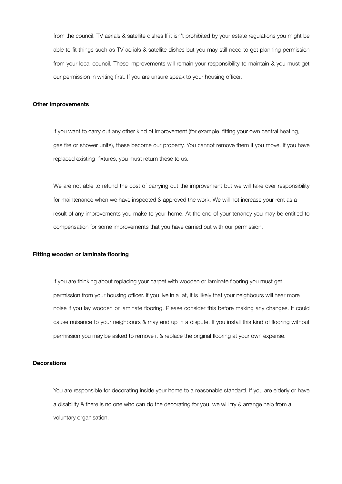from the council. TV aerials & satellite dishes If it isn't prohibited by your estate regulations you might be able to fit things such as TV aerials & satellite dishes but you may still need to get planning permission from your local council. These improvements will remain your responsibility to maintain & you must get our permission in writing first. If you are unsure speak to your housing officer.

#### **Other improvements**

If you want to carry out any other kind of improvement (for example, fitting your own central heating, gas fire or shower units), these become our property. You cannot remove them if you move. If you have replaced existing fixtures, you must return these to us.

We are not able to refund the cost of carrying out the improvement but we will take over responsibility for maintenance when we have inspected & approved the work. We will not increase your rent as a result of any improvements you make to your home. At the end of your tenancy you may be entitled to compensation for some improvements that you have carried out with our permission.

#### **Fitting wooden or laminate flooring**

If you are thinking about replacing your carpet with wooden or laminate flooring you must get permission from your housing officer. If you live in a at, it is likely that your neighbours will hear more noise if you lay wooden or laminate flooring. Please consider this before making any changes. It could cause nuisance to your neighbours & may end up in a dispute. If you install this kind of flooring without permission you may be asked to remove it & replace the original flooring at your own expense.

#### **Decorations**

You are responsible for decorating inside your home to a reasonable standard. If you are elderly or have a disability & there is no one who can do the decorating for you, we will try & arrange help from a voluntary organisation.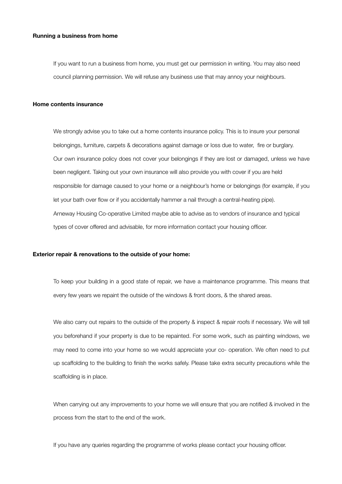#### **Running a business from home**

If you want to run a business from home, you must get our permission in writing. You may also need council planning permission. We will refuse any business use that may annoy your neighbours.

#### **Home contents insurance**

We strongly advise you to take out a home contents insurance policy. This is to insure your personal belongings, furniture, carpets & decorations against damage or loss due to water, fire or burglary. Our own insurance policy does not cover your belongings if they are lost or damaged, unless we have been negligent. Taking out your own insurance will also provide you with cover if you are held responsible for damage caused to your home or a neighbour's home or belongings (for example, if you let your bath over flow or if you accidentally hammer a nail through a central-heating pipe). Arneway Housing Co-operative Limited maybe able to advise as to vendors of insurance and typical types of cover offered and advisable, for more information contact your housing officer.

#### **Exterior repair & renovations to the outside of your home:**

To keep your building in a good state of repair, we have a maintenance programme. This means that every few years we repaint the outside of the windows & front doors, & the shared areas.

We also carry out repairs to the outside of the property & inspect & repair roofs if necessary. We will tell you beforehand if your property is due to be repainted. For some work, such as painting windows, we may need to come into your home so we would appreciate your co- operation. We often need to put up scaffolding to the building to finish the works safely. Please take extra security precautions while the scaffolding is in place.

When carrying out any improvements to your home we will ensure that you are notified & involved in the process from the start to the end of the work.

If you have any queries regarding the programme of works please contact your housing officer.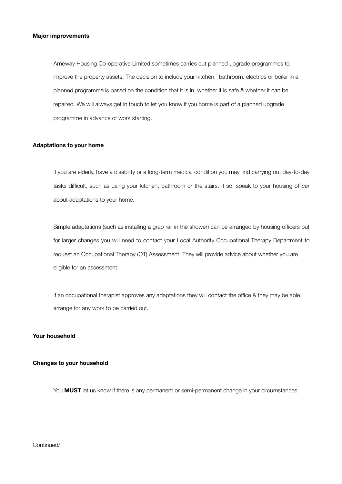#### **Major improvements**

Arneway Housing Co-operative Limited sometimes carries out planned upgrade programmes to improve the property assets. The decision to include your kitchen, bathroom, electrics or boiler in a planned programme is based on the condition that it is in, whether it is safe & whether it can be repaired. We will always get in touch to let you know if you home is part of a planned upgrade programme in advance of work starting.

#### **Adaptations to your home**

If you are elderly, have a disability or a long-term medical condition you may find carrying out day-to-day tasks difficult, such as using your kitchen, bathroom or the stairs. If so, speak to your housing officer about adaptations to your home.

Simple adaptations (such as installing a grab rail in the shower) can be arranged by housing officers but for larger changes you will need to contact your Local Authority Occupational Therapy Department to request an Occupational Therapy (OT) Assessment. They will provide advice about whether you are eligible for an assessment.

If an occupational therapist approves any adaptations they will contact the office & they may be able arrange for any work to be carried out.

#### **Your household**

#### **Changes to your household**

You **MUST** let us know if there is any permanent or semi-permanent change in your circumstances.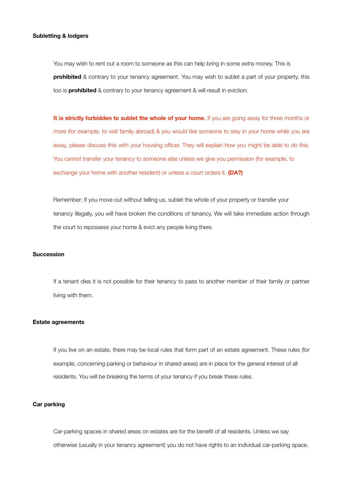#### **Subletting & lodgers**

You may wish to rent out a room to someone as this can help bring in some extra money. This is **prohibited** & contrary to your tenancy agreement. You may wish to sublet a part of your property, this too is **prohibited** & contrary to your tenancy agreement & will result in eviction.

It is strictly forbidden to sublet the whole of your home. If you are going away for three months or more (for example, to visit family abroad) & you would like someone to stay in your home while you are away, please discuss this with your housing officer. They will explain how you might be able to do this. You cannot transfer your tenancy to someone else unless we give you permission (for example, to exchange your home with another resident) or unless a court orders it. **(DA?)**

Remember: If you move out without telling us, sublet the whole of your property or transfer your tenancy illegally, you will have broken the conditions of tenancy. We will take immediate action through the court to repossess your home & evict any people living there.

#### **Succession**

If a tenant dies it is not possible for their tenancy to pass to another member of their family or partner living with them.

#### **Estate agreements**

If you live on an estate, there may be local rules that form part of an estate agreement. These rules (for example, concerning parking or behaviour in shared areas) are in place for the general interest of all residents. You will be breaking the terms of your tenancy if you break these rules.

#### **Car parking**

Car-parking spaces in shared areas on estates are for the benefit of all residents. Unless we say otherwise (usually in your tenancy agreement) you do not have rights to an individual car-parking space.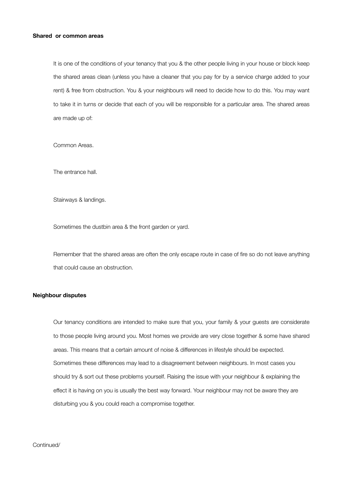#### **Shared or common areas**

It is one of the conditions of your tenancy that you & the other people living in your house or block keep the shared areas clean (unless you have a cleaner that you pay for by a service charge added to your rent) & free from obstruction. You & your neighbours will need to decide how to do this. You may want to take it in turns or decide that each of you will be responsible for a particular area. The shared areas are made up of:

Common Areas.

The entrance hall.

Stairways & landings.

Sometimes the dustbin area & the front garden or yard.

Remember that the shared areas are often the only escape route in case of fire so do not leave anything that could cause an obstruction.

#### **Neighbour disputes**

Our tenancy conditions are intended to make sure that you, your family & your guests are considerate to those people living around you. Most homes we provide are very close together & some have shared areas. This means that a certain amount of noise & differences in lifestyle should be expected. Sometimes these differences may lead to a disagreement between neighbours. In most cases you should try & sort out these problems yourself. Raising the issue with your neighbour & explaining the effect it is having on you is usually the best way forward. Your neighbour may not be aware they are disturbing you & you could reach a compromise together.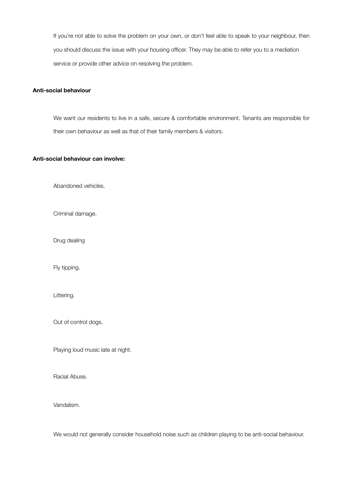If you're not able to solve the problem on your own, or don't feel able to speak to your neighbour, then you should discuss the issue with your housing officer. They may be able to refer you to a mediation service or provide other advice on resolving the problem.

#### **Anti-social behaviour**

We want our residents to live in a safe, secure & comfortable environment. Tenants are responsible for their own behaviour as well as that of their family members & visitors.

#### **Anti-social behaviour can involve:**

Abandoned vehicles.

Criminal damage.

Drug dealing

Fly tipping.

Littering.

Out of control dogs.

Playing loud music late at night.

Racial Abuse.

Vandalism.

We would not generally consider household noise such as children playing to be anti-social behaviour.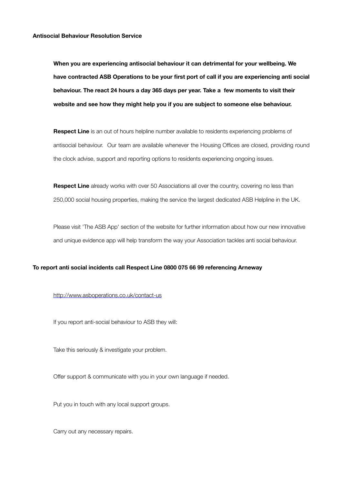**When you are experiencing antisocial behaviour it can detrimental for your wellbeing. We have contracted ASB Operations to be your first port of call if you are experiencing anti social behaviour. The react 24 hours a day 365 days per year. Take a few moments to visit their website and see how they might help you if you are subject to someone else behaviour.**

**Respect Line** is an out of hours helpline number available to residents experiencing problems of antisocial behaviour. Our team are available whenever the Housing Offices are closed, providing round the clock advise, support and reporting options to residents experiencing ongoing issues.

**Respect Line** already works with over 50 Associations all over the country, covering no less than 250,000 social housing properties, making the service the largest dedicated ASB Helpline in the UK.

Please visit 'The ASB App' section of the website for further information about how our new innovative and unique evidence app will help transform the way your Association tackles anti social behaviour.

#### **To report anti social incidents call Respect Line 0800 075 66 99 referencing Arneway**

#### <http://www.asboperations.co.uk/contact-us>

If you report anti-social behaviour to ASB they will:

Take this seriously & investigate your problem.

Offer support & communicate with you in your own language if needed.

Put you in touch with any local support groups.

Carry out any necessary repairs.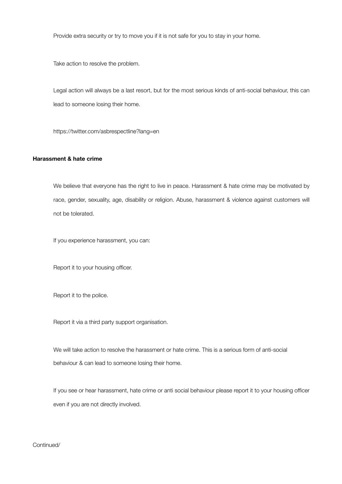Provide extra security or try to move you if it is not safe for you to stay in your home.

Take action to resolve the problem.

Legal action will always be a last resort, but for the most serious kinds of anti-social behaviour, this can lead to someone losing their home.

https://twitter.com/asbrespectline?lang=en

#### **Harassment & hate crime**

We believe that everyone has the right to live in peace. Harassment & hate crime may be motivated by race, gender, sexuality, age, disability or religion. Abuse, harassment & violence against customers will not be tolerated.

If you experience harassment, you can:

Report it to your housing officer.

Report it to the police.

Report it via a third party support organisation.

We will take action to resolve the harassment or hate crime. This is a serious form of anti-social behaviour & can lead to someone losing their home.

If you see or hear harassment, hate crime or anti social behaviour please report it to your housing officer even if you are not directly involved.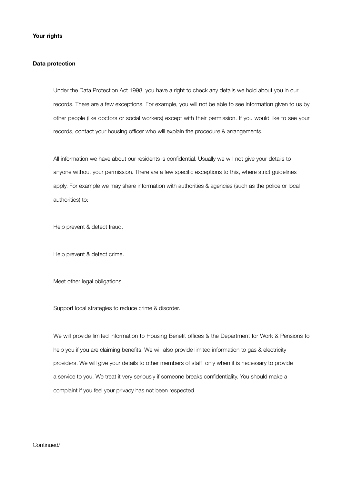#### **Data protection**

Under the Data Protection Act 1998, you have a right to check any details we hold about you in our records. There are a few exceptions. For example, you will not be able to see information given to us by other people (like doctors or social workers) except with their permission. If you would like to see your records, contact your housing officer who will explain the procedure & arrangements.

All information we have about our residents is confidential. Usually we will not give your details to anyone without your permission. There are a few specific exceptions to this, where strict guidelines apply. For example we may share information with authorities & agencies (such as the police or local authorities) to:

Help prevent & detect fraud.

Help prevent & detect crime.

Meet other legal obligations.

Support local strategies to reduce crime & disorder.

We will provide limited information to Housing Benefit offices & the Department for Work & Pensions to help you if you are claiming benefits. We will also provide limited information to gas & electricity providers. We will give your details to other members of staff only when it is necessary to provide a service to you. We treat it very seriously if someone breaks confidentiality. You should make a complaint if you feel your privacy has not been respected.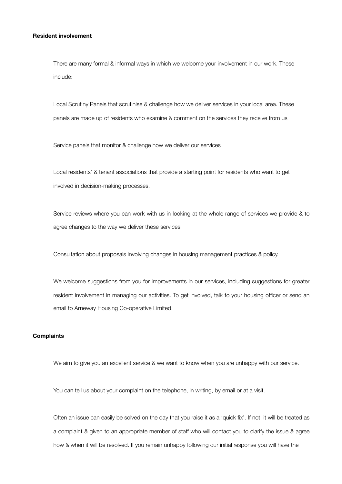#### **Resident involvement**

There are many formal & informal ways in which we welcome your involvement in our work. These include:

Local Scrutiny Panels that scrutinise & challenge how we deliver services in your local area. These panels are made up of residents who examine & comment on the services they receive from us

Service panels that monitor & challenge how we deliver our services

Local residents' & tenant associations that provide a starting point for residents who want to get involved in decision-making processes.

Service reviews where you can work with us in looking at the whole range of services we provide & to agree changes to the way we deliver these services

Consultation about proposals involving changes in housing management practices & policy.

We welcome suggestions from you for improvements in our services, including suggestions for greater resident involvement in managing our activities. To get involved, talk to your housing officer or send an email to Arneway Housing Co-operative Limited.

#### **Complaints**

We aim to give you an excellent service & we want to know when you are unhappy with our service.

You can tell us about your complaint on the telephone, in writing, by email or at a visit.

Often an issue can easily be solved on the day that you raise it as a 'quick fix'. If not, it will be treated as a complaint & given to an appropriate member of staff who will contact you to clarify the issue & agree how & when it will be resolved. If you remain unhappy following our initial response you will have the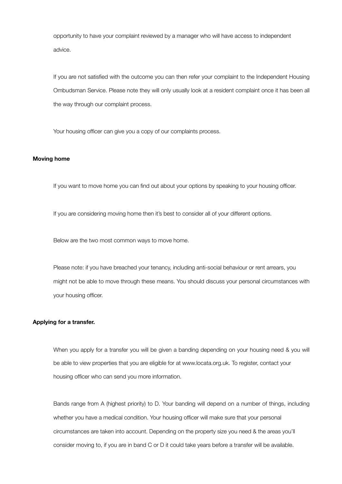opportunity to have your complaint reviewed by a manager who will have access to independent advice.

If you are not satisfied with the outcome you can then refer your complaint to the Independent Housing Ombudsman Service. Please note they will only usually look at a resident complaint once it has been all the way through our complaint process.

Your housing officer can give you a copy of our complaints process.

#### **Moving home**

If you want to move home you can find out about your options by speaking to your housing officer.

If you are considering moving home then it's best to consider all of your different options.

Below are the two most common ways to move home.

Please note: if you have breached your tenancy, including anti-social behaviour or rent arrears, you might not be able to move through these means. You should discuss your personal circumstances with your housing officer.

#### **Applying for a transfer.**

When you apply for a transfer you will be given a banding depending on your housing need & you will be able to view properties that you are eligible for at www.locata.org.uk. To register, contact your housing officer who can send you more information.

Bands range from A (highest priority) to D. Your banding will depend on a number of things, including whether you have a medical condition. Your housing officer will make sure that your personal circumstances are taken into account. Depending on the property size you need & the areas you'll consider moving to, if you are in band C or D it could take years before a transfer will be available.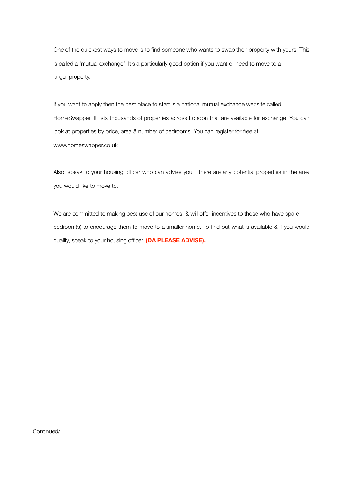One of the quickest ways to move is to find someone who wants to swap their property with yours. This is called a 'mutual exchange'. It's a particularly good option if you want or need to move to a larger property.

If you want to apply then the best place to start is a national mutual exchange website called HomeSwapper. It lists thousands of properties across London that are available for exchange. You can look at properties by price, area & number of bedrooms. You can register for free at www.homeswapper.co.uk

Also, speak to your housing officer who can advise you if there are any potential properties in the area you would like to move to.

We are committed to making best use of our homes, & will offer incentives to those who have spare bedroom(s) to encourage them to move to a smaller home. To find out what is available & if you would qualify, speak to your housing officer. **(DA PLEASE ADVISE).**